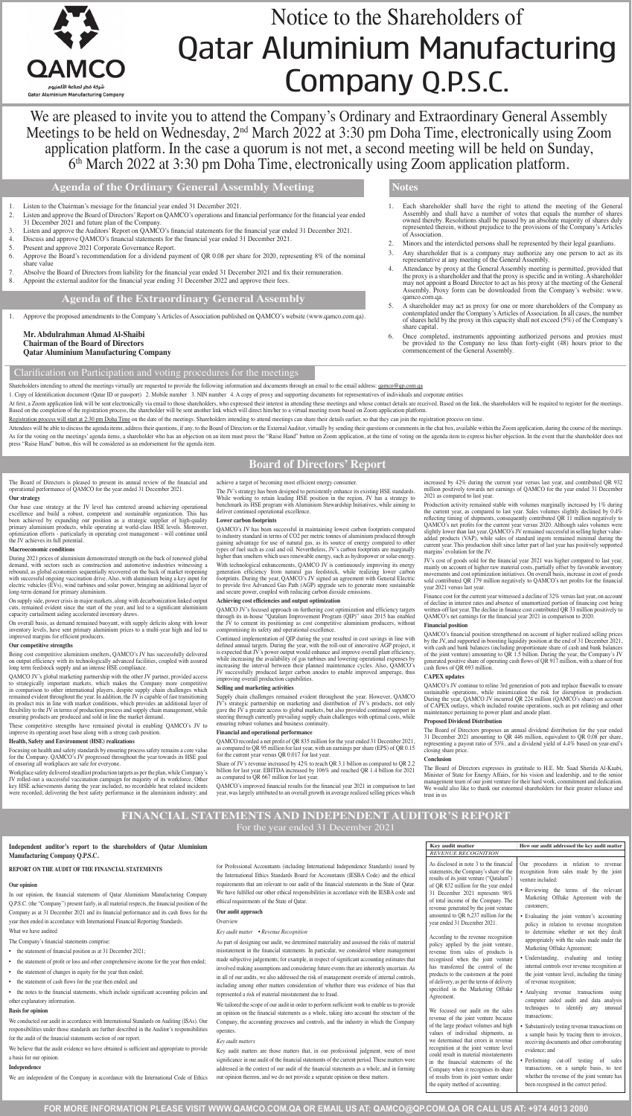# **FOR MORE INFORMATION PLEASE VISIT WWW.QAMCO.COM.QA OR EMAIL US AT: QAMCO@QP.COM.QA OR CALL US AT: +974 4013 2080**



# Notice to the Shareholders of Qatar Aluminium Manufacturing Company Q.P.S.C.

We are pleased to invite you to attend the Company's Ordinary and Extraordinary General Assembly Meetings to be held on Wednesday, 2nd March 2022 at 3:30 pm Doha Time, electronically using Zoom application platform. In the case a quorum is not met, a second meeting will be held on Sunday, 6th March 2022 at 3:30 pm Doha Time, electronically using Zoom application platform.

Agenda of the Ordinary General Assembly Meeting **Notes** Notes

# **Board of Directors' Report**

# **FINANCIAL STATEMENTS AND INDEPENDENT AUDITOR'S REPORT** For the year ended 31 December 2021

- 1. Listen to the Chairman's message for the financial year ended 31 December 2021.
- 2. Listen and approve the Board of Directors'Report on QAMCO's operations and financial performance for the financial year ended 31 December 2021 and future plan of the Company.
- 3. Listen and approve the Auditors' Report on QAMCO's financial statements for the financial year ended 31 December 2021.
- 4. Discuss and approve QAMCO's financial statements for the financial year ended 31 December 2021.
- 5. Present and approve 2021 Corporate Governance Report.
- 6. Approve the Board's recommendation for a dividend payment of QR 0.08 per share for 2020, representing 8% of the nominal share value
- 7. Absolve the Board of Directors from liability for the financial year ended 31 December 2021 and fix their remuneration.
- 8. Appoint the external auditor for the financial year ending 31 December 2022 and approve their fees.
- Each shareholder shall have the right to attend the meeting of the General Assembly and shall have a number of votes that equals the number of shares owned thereby. Resolutions shall be passed by an absolute majority of shares duly represented therein, without prejudice to the provisions of the Company's Articles of Association.
- 2. Minors and the interdicted persons shall be represented by their legal guardians.
- Any shareholder that is a company may authorize any one person to act as its representative at any meeting of the General Assembly.
- Attendance by proxy at the General Assembly meeting is permitted, provided that the proxy is a shareholder and that the proxy is specific and in writing. A shareholder may not appoint a Board Director to act as his proxy at the meeting of the General Assembly. Proxy form can be downloaded from the Company's website: www. qamco.com.qa.
- 5. A shareholder may act as proxy for one or more shareholders of the Company as contemplated under the Company's Articles of Association. In all cases, the number of shares held by the proxy in this capacity shall not exceed (5%) of the Company's share capital.
- 6. Once completed, instruments appointing authorized persons and proxies must be provided to the Company no less than forty-eight (48) hours prior to the commencement of the General Assembly.

1. Approve the proposed amendments to the Company's Articles of Association published on QAMCO's website (www.qamco.com.qa).

# **Mr. Abdulrahman Ahmad Al-Shaibi Chairman of the Board of Directors Qatar Aluminium Manufacturing Company**

The Board of Directors is pleased to present its annual review of the financial and operational performance of QAMCO for the year ended 31 December 2021.

# **Our strategy**

Our base case strategy at the JV level has centered around achieving operational excellence and build a robust, competent and sustainable organization. This has been achieved by expanding our position as a strategic supplier of high-quality primary aluminium products, while operating at world-class HSE levels. Moreover, optimization efforts - particularly in operating cost management - will continue until the JV achieves its full potential.

# **Macroeconomic conditions**

During 2021 prices of aluminium demonstrated strength on the back of renewed global demand, with sectors such as construction and automotive industries witnessing a rebound, as global economies sequentially recovered on the back of market reopening with successful ongoing vaccination drive. Also, with aluminium being a key input for electric vehicles (EVs), wind turbines and solar power, bringing an additional layer of long-term demand for primary aluminium.

On supply side, power crisis in major markets, along with decarbonization linked output cuts, remained evident since the start of the year, and led to a significant aluminium capacity curtailment aiding accelerated inventory draws.

On overall basis, as demand remained buoyant, with supply deficits along with lower inventory levels, have sent primary aluminium prices to a multi-year high and led to improved margins for efficient producers.

# **Our competitive strengths**

Being cost competitive aluminium smelters, QAMCO's JV has successfully delivered on output efficiency with its technologically advanced facilities, coupled with assured long term feedstock supply and an intense HSE compliance.

QAMCO JV's global marketing partnership with the other JV partner, provided access to strategically important markets, which makes the Company more competitive in comparison to other international players, despite supply chain challenges which remained evident throughout the year. In addition, the JV is capable of fast transitioning its product mix in line with market conditions, which provides an additional layer of

flexibility to the JV in terms of production process and supply chain management, while

ensuring products are produced and sold in line the market demand.

These competitive strengths have remained pivotal in enabling QAMCO's JV to improve its operating asset base along with a strong cash position.

## **Health, Safety and Environment (HSE) realizations**

Focusing on health and safety standards by ensuring process safety remains a core value for the Company. QAMCO's JV progressed throughout the year towards its HSE goal of ensuring all workplaces are safe for everyone.

Workplace safety delivered steadfast production targets as per the plan, while Company's JV rolled-out a successful vaccination campaign for majority of its workforce. Other key HSE achievements during the year included, no recordable heat related incidents were recorded; delivering the best safety performance in the aluminium industry; and

achieve a target of becoming most efficient energy consumer.

The JV's strategy has been designed to persistently enhance its existing HSE standards. While working to retain leading HSE position in the region, JV has a strategy to benchmark its HSE program with Aluminium Stewardship Initiatives, while aiming to deliver continued operational excellence.

# **Lower carbon footprints**

At first, a Zoom application link will be sent electronically via email to those shareholders, who expressed their interest in attending these meetings and whose contact details are received. Based on the link, the shareho Based on the completion of the registration process, the shareholder will be sent another link which will direct him/her to a virtual meeting room based on Zoom application platform.

Registration process will start at 2:30 pm Doha Time on the date of the meetings. Shareholders intending to attend meetings can share their details earlier, so that they can join the registration process on time.

QAMCO's JV has been successful in maintaining lowest carbon footprints compared to industry standard in terms of CO2 per metric tonnes of aluminium produced through gaining advantage for use of natural gas, as its source of energy compared to other types of fuel such as coal and oil. Nevertheless, JV's carbon footprints are marginally higher than smelters which uses renewable energy, such as hydropower or solar energy.

Attendees will be able to discuss the agenda items, address their questions, if any, to the Board of Directors or the External Auditor, virtually by sending their questions or comments in the chat box, available within the As for the voting on the meetings' agenda items, a shareholder who has an objection on an item must press the "Raise Hand" button on Zoom application, at the time of voting on the agenda item to express his/her objection. press "Raise Hand" button, this will be considered as an endorsement for the agenda item.

> With technological enhancements, QAMCO JV is continuously improving its energy generation efficiency from natural gas feedstock, while realizing lower carbon footprints. During the year, QAMCO's JV signed an agreement with General Electric to provide five Advanced Gas Path (AGP) upgrade sets to generate more sustainable and secure power, coupled with reducing carbon dioxide emissions.

# **Achieving cost efficiencies and output optimization**

- the statement of financial position as at 31 December 2021;
- the statement of profit or loss and other comprehensive income for the year then ended;
- the statement of changes in equity for the year then ended;
- the statement of cash flows for the year then ended; and
- the notes to the financial statements, which include significant accounting policies and other explanatory information.

QAMCO JV's focused approach on furthering cost optimization and efficiency targets through its in-house "Qatalum Improvement Program (QIP)" since 2015 has enabled the JV to cement its positioning as cost competitive aluminium producers, without compromising its safety and operational excellence.

for Professional Accountants (including International the International Ethics Standards Board for Account requirements that are relevant to our audit of the finan We have fulfilled our other ethical responsibilities in a ethical requirements of the State of Qatar.

Continued implementation of QIP during the year resulted in cost savings in line with defined annual targets. During the year, with the roll-out of innovative AGP project, it is expected that JV's power output would enhance and improve overall plant efficiency, while increasing the availability of gas turbines and lowering operational expenses by increasing the interval between their planned maintenance cycles. Also, QAMCO's JV successfully produced larger carbon anodes to enable improved amperage, thus improving overall production capabilities.

# **Selling and marketing activities**

Supply chain challenges remained evident throughout the year. However, QAMCO JV's strategic partnership on marketing and distribution of JV's products, not only gave the JV a greater access to global markets, but also provided continued support in

steering through currently prevailing supply chain challenges with optimal costs, while ensuring robust volumes and business continuity.

# **Financial and operational performance**

QAMCO recorded a net profit of QR 835 million for the year ended 31 December 2021, as compared to QR 95 million for last year, with an earnings per share (EPS) of QR 0.15 for the current year versus QR 0.017 for last year.

Share of JV's revenue increased by 42% to reach QR 3.1 billion as compared to QR 2.2 billion for last year. EBITDA increased by 106% and reached QR 1.4 billion for 2021 as compared to QR 667 million for last year.

QAMCO's improved financial results for the financial year 2021 in comparison to last year, was largely attributed to an overall growth in average realized selling prices which increased by 42% during the current year versus last year, and contributed QR 932 million positively towards net earnings of QAMCO for the year ended 31 December 2021 as compared to last year.

Production activity remained stable with volumes marginally increased by 1% during the current year, as compared to last year. Sales volumes slightly declined by 0.4% reflecting timing of shipments, consequently contributed QR 11 million negatively to QAMCO's net profits for the current year versus 2020. Although sales volumes were slightly lower than last year, QAMCO's JV remained successful in selling higher valueadded products (VAP), while sales of standard ingots remained minimal during the current year. This production shift since latter part of last year has positively supported margins' evolution for the JV.

JV's cost of goods sold for the financial year 2021 was higher compared to last year, mainly on account of higher raw material costs, partially offset by favorable inventory movements and cost optimization initiatives. On overall basis, increase in cost of goods sold contributed QR 179 million negatively to QAMCO's net profits for the financial year 2021 versus last year.

Finance cost for the current year witnessed a decline of 32% versus last year, on account of decline in interest rates and absence of unamortized portion of financing cost being written-off last year. The decline in finance cost contributed QR 33 million positively to QAMCO's net earnings for the financial year 2021 in comparison to 2020.

# **Financial position**

QAMCO's financial position strengthened on account of higher realized selling prices by the JV, and supported in boosting liquidity position at the end of 31 December 2021, with cash and bank balances (including proportionate share of cash and bank balances of the joint venture) amounting to QR 1.5 billion. During the year, the Company's JV generated positive share of operating cash flows of QR 917 million, with a share of free cash flows of QR 693 million.

# **CAPEX updates**

QAMCO's JV continue to reline 3rd generation of pots and replace fluewalls to ensure sustainable operations, while minimization the risk for disruption in production. During the year, QAMCO JV incurred QR 224 million (QAMCO's share) on account of CAPEX outlays, which included routine operations, such as pot relining and other maintenance pertaining to power plant and anode plant.

# **Proposed Dividend Distribution**

The Board of Directors proposes an annual dividend distribution for the year ended 31 December 2021 amounting to QR 446 million, equivalent to QR 0.08 per share, representing a payout ratio of 53%, and a dividend yield of 4.4% based on year-end's closing share price.

# **Conclusion**

The Board of Directors expresses its gratitude to H.E. Mr. Saad Sherida Al-Kaabi, Minister of State for Energy Affairs, for his vision and leadership, and to the senior management team of our joint venture for their hard work, commitment and dedication. We would also like to thank our esteemed shareholders for their greater reliance and trust in us

**Key audit matter How our audit addressed the key audit matter** 

# Clarification on Participation and voting procedures for the meetings

Shareholders intending to attend the meetings virtually are requested to provide the following information and documents through an email to the email address: qamco@qp.com.qa

1. Copy of Identification document (Qatar ID or passport) 2. Mobile number 3. NIN number 4. A copy of proxy and supporting documents for representatives of individuals and corporate entities

# **Independent auditor's report to the shareholders of Qatar Aluminium Manufacturing Company Q.P.S.C.**

# **REPORT ON THE AUDIT OF THE FINANCIAL STATEMENTS**

# **Our opinion**

In our opinion, the financial statements of Qatar Aluminium Manufacturing Company Q.P.S.C. (the "Company") present fairly, in all material respects, the financial position of the Company as at 31 December 2021 and its financial performance and its cash flows for the year then ended in accordance with International Financial Reporting Standards.

# What we have audited

The Company's financial statements comprise:

# **Basis for opinion**

We conducted our audit in accordance with International Standards on Auditing (ISAs). Our responsibilities under those standards are further described in the Auditor's responsibilities for the audit of the financial statements section of our report.

We believe that the audit evidence we have obtained is sufficient and appropriate to provide a basis for our opinion.

# **Independence**

We are independent of the Company in accordance with the International Code of Ethics

# **Our audit approach**

**Overview** 

# *Key audit matter • Revenue Recognition*

As part of designing our audit, we determined material misstatement in the financial statements. In particular, made subjective judgements; for example, in respect of involved making assumptions and considering future ev in all of our audits, we also addressed the risk of mana including among other matters consideration of wheth represented a risk of material misstatement due to fraud

We tailored the scope of our audit in order to perform suff an opinion on the financial statements as a whole, tak Company, the accounting processes and controls, and operates

# *Key audit matters*

Key audit matters are those matters that, in our professional and most matters significance in our audit of the financial statements of th addressed in the context of our audit of the financial sta our opinion thereon, and we do not provide a separate of

|                                                                                                                                                                                                                                                                                                                                                                       | <b>REVENUE RECOGNITION</b>                                                                                                                                                                                                                                                                                                                                                                                                                                                                                                                  |                                                                                                                                                                                                                                                                                                                                                                                                                                                                                                                                                  |
|-----------------------------------------------------------------------------------------------------------------------------------------------------------------------------------------------------------------------------------------------------------------------------------------------------------------------------------------------------------------------|---------------------------------------------------------------------------------------------------------------------------------------------------------------------------------------------------------------------------------------------------------------------------------------------------------------------------------------------------------------------------------------------------------------------------------------------------------------------------------------------------------------------------------------------|--------------------------------------------------------------------------------------------------------------------------------------------------------------------------------------------------------------------------------------------------------------------------------------------------------------------------------------------------------------------------------------------------------------------------------------------------------------------------------------------------------------------------------------------------|
| Independence Standards) issued by<br>ants (IESBA Code) and the ethical<br>cial statements in the State of Oatar.<br>ccordance with the IESBA code and                                                                                                                                                                                                                 | As disclosed in note 3 to the financial<br>statements, the Company's share of the<br>results of its joint venture ("Qatalum")<br>of QR 832 million for the year ended<br>31 December 2021 represents 98%<br>of total income of the Company. The<br>revenue generated by the joint venture<br>amounted to QR 6,237 million for the<br>year ended 31 December 2021.                                                                                                                                                                           | Our procedures in relation to revenue<br>recognition from sales made by the joint<br>venture included:<br>• Reviewing the terms of the relevant<br>Marketing Offtake Agreement with the<br>customers:<br>• Evaluating the joint venture's accounting<br>policy in relation to revenue recognition                                                                                                                                                                                                                                                |
| ity and assessed the risks of material<br>, we considered where management<br>significant accounting estimates that<br>ents that are inherently uncertain. As<br>gement override of internal controls,<br>her there was evidence of bias that<br>ifficient work to enable us to provide<br>ing into account the structure of the<br>the industry in which the Company | According to the revenue recognition<br>policy applied by the joint venture,<br>revenue from sales of products is<br>recognised when the joint venture<br>has transferred the control of the<br>products to the customers at the point<br>of delivery, as per the terms of delivery<br>specified in the Marketing Offtake<br>Agreement.<br>We focused our audit on the sales<br>revenue of the joint venture because<br>of the large product volumes and high<br>values of individual shipments, as<br>we determined that errors in revenue | to determine whether or not they dealt<br>appropriately with the sales made under the<br>Marketing Offtake Agreement;<br>• Understanding, evaluating and testing<br>internal controls over revenue recognition at<br>the joint venture level, including the timing<br>of revenue recognition;<br>• Analysing revenue transactions using<br>computer aided audit and data analysis<br>techniques to identify<br>any<br>unusual<br>transactions:<br>• Substantively testing revenue transactions on<br>a sample basis by tracing them to invoices, |
| ofessional judgment, were of most<br>e current period. These matters were<br>atements as a whole, and in forming<br>opinion on these matters.                                                                                                                                                                                                                         | recognition at the joint venture level<br>could result in material misstatements<br>in the financial statements of the<br>Company when it recognises its share<br>of results from its joint venture under<br>the equity method of accounting.                                                                                                                                                                                                                                                                                               | receiving documents and other corroborating<br>evidence; and<br>• Performing cut-off testing of<br>sales<br>transactions, on a sample basis, to test<br>whether the revenue of the joint venture has<br>been recognised in the correct period.                                                                                                                                                                                                                                                                                                   |

# **Agenda of the Extraordinary General Assembly**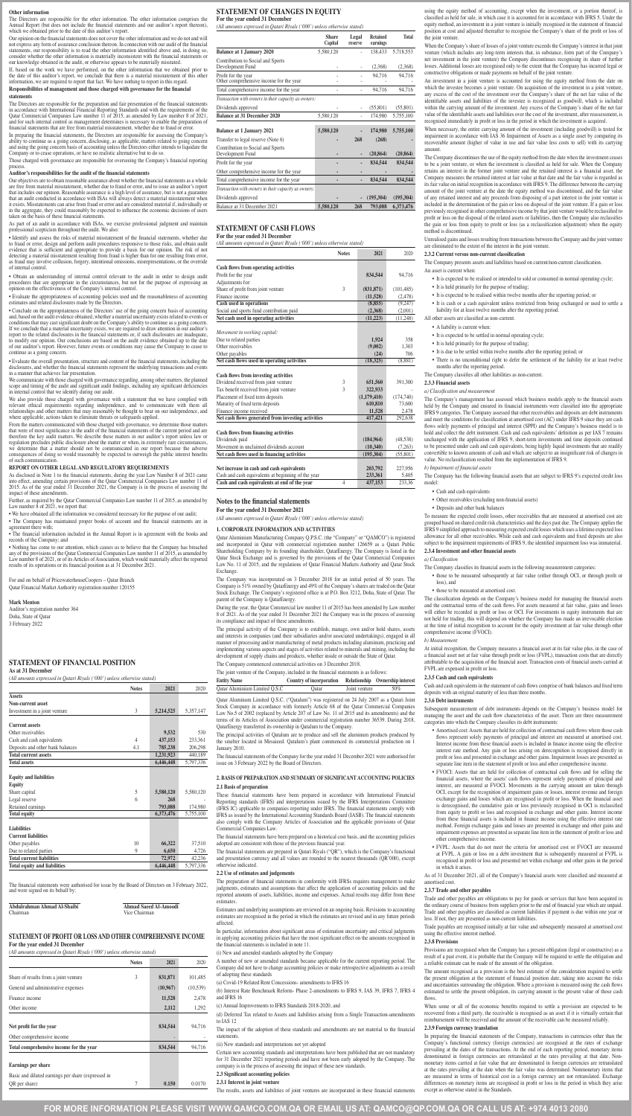# **FOR MORE INFORMATION PLEASE VISIT WWW.QAMCO.COM.QA OR EMAIL US AT: QAMCO@QP.COM.QA OR CALL US AT: +974 4013 2080**

# **Other information**

The Directors are responsible for the other information. The other information comprises the Annual Report (but does not include the financial statements and our auditor's report thereon), which we obtained prior to the date of this auditor's report.

Our opinion on the financial statements does not cover the other information and we do not and will not express any form of assurance conclusion thereon. In connection with our audit of the financial statements, our responsibility is to read the other information identified above and, in doing so, consider whether the other information is materially inconsistent with the financial statements or our knowledge obtained in the audit, or otherwise appears to be materially misstated.

The Directors are responsible for the preparation and fair presentation of the financial statements<br>in accordance with International Financial Reporting Standards and with the requirements of the<br>Qatar Commercial Companies and for such internal control as management determines is necessary to enable the preparation of financial statements that are free from material misstatement, whether due to fraud or error.

If, based on the work we have performed, on the other information that we obtained prior to the date of this auditor's report, we conclude that there is a material misstatement of this other information, we are required to report that fact. We have nothing to report in this regard. **Responsibilities of management and those charged with governance for the financial**

Our objectives are to obtain reasonable assurance about whether the financial statements as a whole are free from material misstatement, whether due to fraud or error, and to issue an auditor's report that includes our opinion. Reasonable assurance is a high level of assurance, but is not a guarantee that an audit conducted in accordance with ISAs will always detect a material misstatement when it exists. Misstatements can arise from fraud or error and are considered material if, individually or in the aggregate, they could reasonably be expected to influence the economic decisions of users taken on the basis of these financial statements

#### **statements**

In preparing the financial statements, the Directors are responsible for assessing the Company's ability to continue as a going concern, disclosing, as applicable, matters related to going concern and using the going concern basis of accounting unless the Directors either intends to liquidate the Company or to cease operations, or have no realistic alternative but to do so.

Those charged with governance are responsible for overseeing the Company's financial reporting process.

## **Auditor's responsibilities for the audit of the financial statements**

• Evaluate the overall presentation, structure and content of the financial statements, including the disclosures, and whether the financial statements represent the underlying transactions and events in a manner that achieves fair presentation.

As part of an audit in accordance with ISAs, we exercise professional judgment and maintain professional scepticism throughout the audit. We also:

Further, as required by the Qatar Commercial Companies Law number 11 of 2015, as amended by Law number 8 of 2021, we report that:

• Identify and assess the risks of material misstatement of the financial statements, whether due to fraud or error, design and perform audit procedures responsive to those risks, and obtain audit evidence that is sufficient and appropriate to provide a basis for our opinion. The risk of not detecting a material misstatement resulting from fraud is higher than for one resulting from error, as fraud may involve collusion, forgery, intentional omissions, misrepresentations, or the override of internal control.

• The Company has maintained proper books of account and the financial statements are in agreement there with

• Nothing has come to our attention, which causes us to believe that the Company has breached any of the provisions of the Qatar Commercial Companies Law number 11 of 2015, as amended by Law number 8 of 2021, or of its Articles of Association, which would materially affect the reported results of its operations or its financial position as at 31 December 2021.

• Obtain an understanding of internal control relevant to the audit in order to design audit procedures that are appropriate in the circumstances, but not for the purpose of expressing an opinion on the effectiveness of the Company's internal control.

• Evaluate the appropriateness of accounting policies used and the reasonableness of accounting estimates and related disclosures made by the Directors.

• Conclude on the appropriateness of the Directors' use of the going concern basis of accounting and, based on the audit evidence obtained, whether a material uncertainty exists related to events or conditions that may cast significant doubt on the Company's ability to continue as a going concern. If we conclude that a material uncertainty exists, we are required to draw attention in our auditor's report to the related disclosures in the financial statements or, if such disclosures are inadequate, to modify our opinion. Our conclusions are based on the audit evidence obtained up to the date of our auditor's report. However, future events or conditions may cause the Company to cease to continue as a going concern.

We communicate with those charged with governance regarding, among other matters, the planned scope and timing of the audit and significant audit findings, including any significant deficiencies in internal control that we identify during our audit.

We also provide those charged with governance with a statement that we have complied with ethical requirements regarding independence, and to communicate with relationships and other matters that may reasonably be thought to bear on our independence, and where applicable, actions taken to eliminate threats or safeguards applied.

From the matters communicated with those charged with governance, we determine those matters that were of most significance in the audit of the financial statements of the current period and are therefore the key audit matters. We describe these matters in our auditor's report unless law or regulation precludes public disclosure about the matter or when, in extremely rare circumstances, we determine that a matter should not be communicated in our report because the adverse consequences of doing so would reasonably be expected to outweigh the public interest benefits of such communication.

# **REPORT ON OTHER LEGAL AND REGULATORY REQUIREMENTS**

As disclosed in Note 1 to the financial statements, during the year Law Number 8 of 2021 came into effect, amending certain provisions of the Qatar Commercial Companies Law number 11 of 2015. As of the year ended 31 December 2021, the Company is in the process of assessing the impact of these amendments.

• We have obtained all the information we considered necessary for the purpose of our audit;

• The financial information included in the Annual Report is in agreement with the books and records of the Company; and

For and on behalf of PricewaterhouseCoopers – Qatar Branch Qatar Financial Market Authority registration number 120155

#### **Mark Menton**

Auditor's registration number 364 Doha, State of Qatar 3 February 2022

# **STATEMENT OF FINANCIAL POSITION**

**As at 31 December**

*(All amounts expressed in Qatari Riyals ('000') unless otherwise stated)*

|                               | <b>Notes</b> | 2021      | 2020      |
|-------------------------------|--------------|-----------|-----------|
| Assets                        |              |           |           |
| Non-current asset             |              |           |           |
| Investment in a joint venture |              | 5.214.525 | 5.357.147 |

| 9,532     | 530       |
|-----------|-----------|
| 437,153   | 233.361   |
| 785,238   | 206.298   |
| 1.231.923 | 440.189   |
| 6,446,448 | 5.797.336 |
|           |           |

In particular, information about significant areas of estimation uncertainty and critical judgments in applying accounting policies that have the most significant effect on the amounts recognised in the financial statements is included in note 11

| <b>Equity and liabilities</b>       |    |           |           |
|-------------------------------------|----|-----------|-----------|
| <b>Equity</b>                       |    |           |           |
| Share capital                       | 5  | 5,580,120 | 5.580.120 |
| Legal reserve                       | 6  | 268       |           |
| Retained earnings                   |    | 793,088   | 174,980   |
| <b>Total equity</b>                 |    | 6,373,476 | 5,755,100 |
|                                     |    |           |           |
| <b>Liabilities</b>                  |    |           |           |
| <b>Current liabilities</b>          |    |           |           |
| Other payables                      | 10 | 66,322    | 37.510    |
| Due to related parties              | 9  | 6,650     | 4.726     |
| <b>Total current liabilities</b>    |    | 72.972    | 42.236    |
| <b>Total equity and liabilities</b> |    | 6,446,448 | 5,797,336 |

The financial statements were authorised for issue by the Board of Directors on 3 February 2022, and were signed on its behalf by:

**Abdulrahman Ahmad Al-Shaibi Ahmad Saeed Al-Amoodi**

Chairman Vice Chairman

# **STATEMENT OF PROFIT OR LOSS AND OTHER COMPREHENSIVE INCOME For the year ended 31 December**

*(All amounts expressed in Qatari Riyals ('000') unless otherwise stated)*

|                                                                                                  | <b>Notes</b> | 2021     | 2020     |
|--------------------------------------------------------------------------------------------------|--------------|----------|----------|
| Share of results from a joint venture                                                            | 3            | 831,871  | 101,485  |
| General and administrative expenses                                                              |              | (10.967) | (10,539) |
| Finance income                                                                                   |              | 11,528   | 2,478    |
| Other income                                                                                     |              | 2,112    | 1,292    |
| Net profit for the year<br>Other comprehensive income                                            |              | 834,544  | 94,716   |
| Total comprehensive income for the year                                                          |              | 834,544  | 94,716   |
| <b>Earnings per share</b><br>Basic and diluted earnings per share (expressed in<br>QR per share) | 7            | 0.150    | 0.0170   |

# **STATEMENT OF CHANGES IN EQUITY**

**For the year ended 31 December** *(All amounts expressed in Qatari Riyals ('000') unless otherwise stated)*

|                                                                | <b>Share</b><br>Capital | Legal<br>reserve | <b>Retained</b><br>earnings | <b>Total</b> |
|----------------------------------------------------------------|-------------------------|------------------|-----------------------------|--------------|
| <b>Balance at 1 January 2020</b>                               | 5,580,120               |                  | 138,433                     | 5,718,553    |
| Contribution to Social and Sports<br>Development Fund          |                         | $\overline{a}$   | (2,368)                     | (2,368)      |
| Profit for the year<br>Other comprehensive income for the year |                         |                  | 94,716                      | 94,716       |
| Total comprehensive income for the year                        |                         |                  | 94,716                      | 94,716       |
| Transaction with owners in their capacity as owners:           |                         |                  |                             |              |
| Dividends approved                                             |                         |                  | (55,801)                    | (55,801)     |
| <b>Balance at 31 December 2020</b>                             | 5,580,120               |                  | 174,980                     | 5,755,100    |
|                                                                |                         |                  |                             |              |
| <b>Balance at 1 January 2021</b>                               | 5,580,120               |                  | 174,980                     | 5,755,100    |
| Transfer to legal reserve (Note 6)                             |                         | 268              | (268)                       |              |
| Contribution to Social and Sports<br>Development Fund          |                         |                  | (20, 864)                   | (20, 864)    |
| Profit for the year                                            |                         |                  | 834,544                     | 834,544      |
| Other comprehensive income for the year                        |                         |                  |                             |              |
| Total comprehensive income for the year                        |                         | ٠                | 834,544                     | 834.544      |
| Transaction with owners in their capacity as owners:           |                         |                  |                             |              |
| Dividends approved                                             |                         |                  | (195,304)                   | (195,304)    |
| Balance at 31 December 2021                                    | 5,580,120               | 268              | 793,088                     | 6,373,476    |

# **STATEMENT OF CASH FLOWS**

**For the year ended 31 December**

*(All amounts expressed in Qatari Riyals ('000') unless otherwise stated)*

|                                                               | <b>Notes</b>             | 2021        | 2020       |
|---------------------------------------------------------------|--------------------------|-------------|------------|
| <b>Cash flows from operating activities</b>                   |                          |             |            |
| Profit for the year                                           |                          | 834.544     | 94.716     |
| Adjustments for:                                              |                          |             |            |
| Share of profit from joint venture                            | 3                        | (831, 871)  | (101, 485) |
| Finance income                                                |                          | (11,528)    | (2,478)    |
| <b>Cash used in operations</b>                                |                          | (8, 855)    | (9,247)    |
| Social and sports fund contribution paid                      |                          | (2,368)     | (2,001)    |
| Net cash used in operating activities                         |                          | (11,223)    | (11,248)   |
| Movement in working capital:                                  |                          |             |            |
| Due to related parties                                        |                          | 1,924       | 358        |
| Other receivables                                             |                          | (9,002)     | 1,303      |
| Other payables                                                |                          | (24)        | 706        |
| Net cash flows used in operating activities                   |                          | (18,325)    | (8,881)    |
| <b>Cash flows from investing activities</b>                   |                          |             |            |
| Dividend received from joint venture                          | 3                        | 651,560     | 391,300    |
| Tax benefit received from joint venture                       | $\overline{\mathcal{E}}$ | 322,933     |            |
| Placement of fixed term deposits                              |                          | (1,179,410) | (174,740)  |
| Maturity of fixed term deposits                               |                          | 610,810     | 73,600     |
| Finance income received                                       |                          | 11,528      | 2,478      |
| Net cash flows generated from investing activities            |                          | 417,421     | 292,638    |
|                                                               |                          |             |            |
| <b>Cash flows from financing activities</b><br>Dividends paid |                          | (184, 964)  | (48,538)   |
| Movement in unclaimed dividends account                       |                          | (10, 340)   | (7.263)    |
| Net cash flows used in financing activities                   |                          | (195, 304)  | (55,801)   |
|                                                               |                          |             |            |
| Net increase in cash and cash equivalents                     |                          | 203,792     | 227,956    |
| Cash and cash equivalents at beginning of the year            |                          | 233,361     | 5,405      |
| Cash and cash equivalents at end of the year                  | $\overline{4}$           | 437,153     | 233,36     |

# **Notes to the financial statements For the year ended 31 December 2021**

*(All amounts expressed in Qatari Riyals ('000') unless otherwise stated)*

# **1. CORPORATE INFORMATION AND ACTIVITIES**

Qatar Aluminium Manufacturing Company Q.P.S.C. (the "Company" or "QAMCO") is registered and incorporated in Qatar with commercial registration number 126659 as a Qatari Public Shareholding Company by its founding shareholder, QatarEnergy. The Company is listed in the Qatar Stock Exchange and is governed by the provisions of the Qatar Commercial Companies Law No. 11 of 2015, and the regulations of Qatar Financial Markets Authority and Qatar Stock Exchange.

- • Amortised cost: Assets that are held for collection of contractual cash flows where those cash flows represent solely payments of principal and interest are measured at amortised cost. Interest income from these financial assets is included in finance income using the effective interest rate method. Any gain or loss arising on derecognition is recognised directly in profit or loss and presented in exchange and other gains. Impairment losses are presented as separate line item in the statement of profit or loss and other comprehensive income.
- FVOCI: Assets that are held for collection of contractual cash flows and for selling the financial assets, where the assets' cash flows represent solely payments of principal and interest, are measured at FVOCI. Movements in the carrying amount are taken through OCI, except for the recognition of impairment gains or losses, interest revenue and foreign exchange gains and losses which are recognised in profit or loss. When the financial asset is derecognised, the cumulative gain or loss previously recognised in OCI is reclassified from equity to profit or loss and recognised in exchange and other gains. Interest income from these financial assets is included in finance income using the effective interest rate method. Foreign exchange gains and losses are presented in exchange and other gains and impairment expenses are presented as separate line item in the statement of profit or loss and other comprehensive income.
- FVPL: Assets that do not meet the criteria for amortised cost or FVOCI are measured at FVPL. A gain or loss on a debt investment that is subsequently measured at FVPL is recognised in profit or loss and presented net within exchange and other gains in the period in which it arises.

The Company was incorporated on 3 December 2018 for an initial period of 50 years. The Company is 51% owned by QatarEnergy and 49% of the Company's shares are traded on the Qatar Stock Exchange. The Company's registered office is at P.O. Box 3212, Doha, State of Qatar. The parent of the Company is QatarEnergy.

During the year, the Qatar Commercial law number 11 of 2015 has been amended by Law number 8 of 2021. As of the year ended 31 December 2021 the Company was in the process of assessing its compliance and impact of these amendments.

The principal activity of the Company is to establish, manage, own and/or hold shares, assets and interests in companies (and their subsidiaries and/or associated undertakings), engaged in all manner of processing and/or manufacturing of metal products including aluminum, practicing and implementing various aspects and stages of activities related to minerals and mining, including the development of supply chains and products, whether inside or outside the State of Qatar. The Company commenced commercial activities on 3 December 2018.

The joint venture of the Company, included in the financial statements is as follows:

| <b>Entity Name</b>            | Country of incorporation |               | Relationship Ownership interest |
|-------------------------------|--------------------------|---------------|---------------------------------|
| Qatar Aluminium Limited Q.S.C | Oatar                    | Joint venture | 50%                             |

Qatar Aluminum Limited Q.S.C. ("Qatalum") was registered on 24 July 2007 as a Qatari Joint Stock Company in accordance with formerly Article 68 of the Qatar Commercial Companies Law No.5 of 2002 (replaced by Article 207 of Law No. 11 of 2015 and its amendments) and the terms of its Articles of Association under commercial registration number 36539. During 2018, QatarEnergy transferred its ownership in Qatalum to the Company.

The principal activities of Qatalum are to produce and sell the aluminum products produced by the smelter located in Mesaieed. Qatalum's plant commenced its commercial production on 1 January 2010.

The financial statements of the Company for the year ended 31 December 2021 were authorised for issue on 3 February 2022 by the Board of Directors.

# **2. BASIS OF PREPARATION AND SUMMARY OF SIGNIFICANT ACCOUNTING POLICIES 2.1 Basis of preparation**

These financial statements have been prepared in accordance with International Financial Reporting standards (IFRS) and interpretations issued by the IFRS Interpretations Committee (IFRS IC) applicable to companies reporting under IFRS. The financial statements comply with IFRS as issued by the International Accounting Standards Board (IASB). The financial statements also comply with the Company Articles of Association and the applicable provisions of Qatar Commercial Companies Law.

The financial statements have been prepared on a historical cost basis, and the accounting policies adopted are consistent with those of the previous financial year.

The financial statements are prepared in Qatari Riyals ("QR"), which is the Company's functional and presentation currency and all values are rounded to the nearest thousands (QR'000), except otherwise indicated.

# **2.2 Use of estimates and judgements**

The preparation of financial statements in conformity with IFRSs requires management to make judgments, estimates and assumptions that affect the application of accounting policies and the reported amounts of assets, liabilities, income and expenses. Actual results may differ from these estimates.

Estimates and underlying assumptions are reviewed on an ongoing basis. Revisions to accounting estimates are recognised in the period in which the estimates are revised and in any future periods affected.

(i) New and amended standards adopted by the Company

A number of new or amended standards became applicable for the current reporting period. The Company did not have to change accounting policies or make retrospective adjustments as a result of adopting these standards

(a) Covid-19 Related Rent Concessions- amendments to IFRS 16

(b) Interest Rate Benchmark Reform- Phase 2-amendments to IFRS 9, IAS 39, IFRS 7, IFRS 4 and IFRS 16

(c) Annual Improvements to IFRS Standards 2018-2020, and

(d) Deferred Tax related to Assets and liabilities arising from a Single Transaction-amendments to IAS 12

The impact of the adoption of these standards and amendments are not material to the financial statements.

(ii) New standards and interpretations not yet adopted

Certain new accounting standards and interpretations have been published that are not mandatory for 31 December 2021 reporting periods and have not been early adopted by the Company. The company is in the process of assessing the impact of these new standards.

# **2.3 Significant accounting policies**

# **2.3.1 Interest in joint venture**

The results, assets and liabilities of joint ventures are incorporated in these financial statements

using the equity method of accounting, except when the investment, or a portion thereof, is classified as held for sale, in which case it is accounted for in accordance with IFRS 5. Under the equity method, an investment in a joint venture is initially recognised in the statement of financial position at cost and adjusted thereafter to recognise the Company's share of the profit or loss of the joint venture.

When the Company's share of losses of a joint venture exceeds the Company's interest in that joint venture (which includes any long-term interests that, in substance, form part of the Company's net investment in the joint venture) the Company discontinues recognising its share of further losses. Additional losses are recognised only to the extent that the Company has incurred legal or constructive obligations or made payments on behalf of the joint venture.

An investment in a joint venture is accounted for using the equity method from the date on which the investee becomes a joint venture. On acquisition of the investment in a joint venture, any excess of the cost of the investment over the Company's share of the net fair value of the identifiable assets and liabilities of the investee is recognized as goodwill, which is included within the carrying amount of the investment. Any excess of the Company's share of the net fair value of the identifiable assets and liabilities over the cost of the investment, after reassessment, is recognised immediately in profit or loss in the period in which the investment is acquired.

When necessary, the entire carrying amount of the investment (including goodwill) is tested for impairment in accordance with IAS 36 Impairment of Assets as a single asset by comparing its recoverable amount (higher of value in use and fair value less costs to sell) with its carrying amount.

The Company discontinues the use of the equity method from the date when the investment ceases to be a joint venture, or when the investment is classified as held for sale. When the Company retains an interest in the former joint venture and the retained interest is a financial asset, the Company measures the retained interest at fair value at that date and the fair value is regarded as its fair value on initial recognition in accordance with IFRS 9. The difference between the carrying amount of the joint venture at the date the equity method was discontinued, and the fair value of any retained interest and any proceeds from disposing of a part interest in the joint venture is included in the determination of the gain or loss on disposal of the joint venture. If a gain or loss previously recognised in other comprehensive income by that joint venture would be reclassified to profit or loss on the disposal of the related assets or liabilities, then the Company also reclassifies the gain or loss from equity to profit or loss (as a reclassification adjustment) when the equity method is discontinued.

Unrealised gains and losses resulting from transactions between the Company and the joint venture are eliminated to the extent of the interest in the joint venture.

# **2.3.2 Current versus non-current classification**

The Company presents assets and liabilities based on current/non-current classification. An asset is current when:

- 
- It is expected to be realised or intended to sold or consumed in normal operating cycle; • It is held primarily for the purpose of trading;
- It is expected to be realised within twelve months after the reporting period; or
- It is cash or a cash equivalent unless restricted from being exchanged or used to settle a liability for at least twelve months after the reporting period.
- All other assets are classified as non-current.
	- A liability is current when:
	- It is expected to be settled in normal operating cycle:
	- It is held primarily for the purpose of trading;
	- It is due to be settled within twelve months after the reporting period; or
	- There is no unconditional right to defer the settlement of the liability for at least twelve months after the reporting period.

The Company classifies all other liabilities as non-current.

# **2.3.3 Financial assets**

*a) Classification and measurement*

The Company's management has assessed which business models apply to the financial assets held by the Company and ensured its financial instruments were classified into the appropriate IFRS 9 categories. The Company assessed that other receivables and deposits are debt instruments and meet the conditions for classification at amortised cost (AC) under IFRS 9 since they are cash flows solely payments of principal and interest (SPPI) and the Company's business model is to hold and collect the debt instrument. Cash and cash equivalents' definition as per IAS 7 remains unchanged with the application of IFRS 9, short-term investments and time deposits continued to be presented under cash and cash equivalents, being highly liquid investments that are readily convertible to known amounts of cash and which are subject to an insignificant risk of changes in value. No reclassification resulted from the implementation of IFRS 9.

# *b) Impairment of financial assets*

The Company has the following financial assets that are subject to IFRS 9's expected credit loss model:

- Cash and cash equivalents
- Other receivables (excluding non-financial assets)
- Deposits and other bank balances

To measure the expected credit losses, other receivables that are measured at amortised cost are grouped based on shared credit risk characteristics and the days past due. The Company applies the IFRS 9 simplified approach to measuring expected credit losses which uses a lifetime expected loss allowance for all other receivables. While cash and cash equivalents and fixed deposits are also subject to the impairment requirements of IFRS 9, the identified impairment loss was immaterial.

# **2.3.4 Investment and other financial assets**

*a) Classification*

The Company classifies its financial assets in the following measurement categories:

• those to be measured subsequently at fair value (either through OCI, or through profit or loss), and

• those to be measured at amortised cost.

The classification depends on the Company's business model for managing the financial assets and the contractual terms of the cash flows. For assets measured at fair value, gains and losses will either be recorded in profit or loss or OCI. For investments in equity instruments that are not held for trading, this will depend on whether the Company has made an irrevocable election at the time of initial recognition to account for the equity investment at fair value through other comprehensive income (FVOCI).

# *b) Measurement*

At initial recognition, the Company measures a financial asset at its fair value plus, in the case of a financial asset not at fair value through profit or loss (FVPL), transaction costs that are directly attributable to the acquisition of the financial asset. Transaction costs of financial assets carried at FVPL are expensed in profit or loss.

# **2.3.5 Cash and cash equivalents**

Cash and cash equivalents in the statement of cash flows comprise of bank balances and fixed term deposits with an original maturity of less than three months. **2.3.6 Debt instruments**

Subsequent measurement of debt instruments depends on the Company's business model for

managing the asset and the cash flow characteristics of the asset. There are three measurement categories into which the Company classifies its debt instruments:

As of 31 December 2021, all of the Company's financial assets were classified and measured at amortised cost.

# **2.3.7 Trade and other payables**

Trade and other payables are obligations to pay for goods or services that have been acquired in the ordinary course of business from suppliers prior to the end of financial year which are unpaid. Trade and other payables are classified as current liabilities if payment is due within one year or less. If not, they are presented as non-current liabilities.

Trade payables are recognised initially at fair value and subsequently measured at amortised cost using the effective interest method.

# **2.3.8 Provisions**

Provisions are recognised when the Company has a present obligation (legal or constructive) as a result of a past event, it is probable that the Company will be required to settle the obligation and a reliable estimate can be made of the amount of the obligation.

The amount recognised as a provision is the best estimate of the consideration required to settle the present obligation at the statement of financial position date, taking into account the risks and uncertainties surrounding the obligation. Where a provision is measured using the cash flows estimated to settle the present obligation, its carrying amount is the present value of those cash flows.

When some or all of the economic benefits required to settle a provision are expected to be recovered from a third party, the receivable is recognised as an asset if it is virtually certain that reimbursement will be received and the amount of the receivable can be measured reliably.

# **2.3.9 Foreign currency translation**

In preparing the financial statements of the Company, transactions in currencies other than the Company's functional currency (foreign currencies) are recognised at the rates of exchange prevailing at the dates of the transactions. At the end of each reporting period, monetary items denominated in foreign currencies are retranslated at the rates prevailing at that date. Nonmonetary items carried at fair value that are denominated in foreign currencies are retranslated at the rates prevailing at the date when the fair value was determined. Nonmonetary items that are measured in terms of historical cost in a foreign currency are not retranslated. Exchange differences on monetary items are recognised in profit or loss in the period in which they arise except as otherwise stated in the Standards.